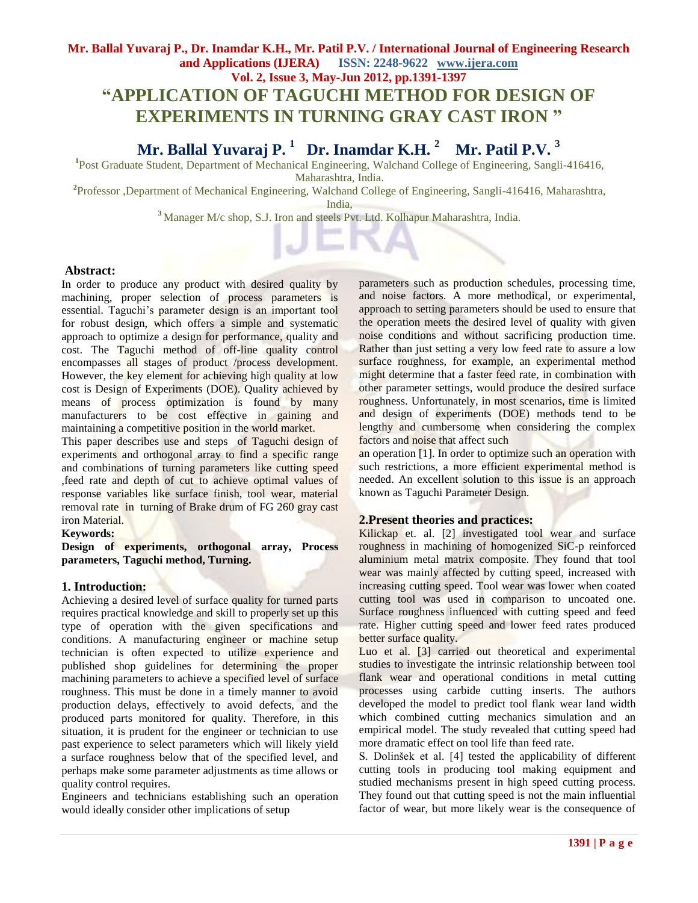# **Mr. Ballal Yuvaraj P., Dr. Inamdar K.H., Mr. Patil P.V. / International Journal of Engineering Research and Applications (IJERA) ISSN: 2248-9622 www.ijera.com Vol. 2, Issue 3, May-Jun 2012, pp.1391-1397 "APPLICATION OF TAGUCHI METHOD FOR DESIGN OF EXPERIMENTS IN TURNING GRAY CAST IRON "**

# **Mr. Ballal Yuvaraj P. <sup>1</sup> Dr. Inamdar K.H. <sup>2</sup> Mr. Patil P.V. <sup>3</sup>**

<sup>1</sup>Post Graduate Student, Department of Mechanical Engineering, Walchand College of Engineering, Sangli-416416, Maharashtra, India.

**2** Professor ,Department of Mechanical Engineering, Walchand College of Engineering, Sangli-416416, Maharashtra,

India,

**<sup>3</sup>** Manager M/c shop, S.J. Iron and steels Pvt. Ltd. Kolhapur Maharashtra, India.

# **Abstract:**

In order to produce any product with desired quality by machining, proper selection of process parameters is essential. Taguchi"s parameter design is an important tool for robust design, which offers a simple and systematic approach to optimize a design for performance, quality and cost. The Taguchi method of off-line quality control encompasses all stages of product /process development. However, the key element for achieving high quality at low cost is Design of Experiments (DOE). Quality achieved by means of process optimization is found by many manufacturers to be cost effective in gaining and maintaining a competitive position in the world market.

This paper describes use and steps of Taguchi design of experiments and orthogonal array to find a specific range and combinations of turning parameters like cutting speed ,feed rate and depth of cut to achieve optimal values of response variables like surface finish, tool wear, material removal rate in turning of Brake drum of FG 260 gray cast iron Material.

# **Keywords:**

**Design of experiments, orthogonal array, Process parameters, Taguchi method, Turning.**

# **1. Introduction:**

Achieving a desired level of surface quality for turned parts requires practical knowledge and skill to properly set up this type of operation with the given specifications and conditions. A manufacturing engineer or machine setup technician is often expected to utilize experience and published shop guidelines for determining the proper machining parameters to achieve a specified level of surface roughness. This must be done in a timely manner to avoid production delays, effectively to avoid defects, and the produced parts monitored for quality. Therefore, in this situation, it is prudent for the engineer or technician to use past experience to select parameters which will likely yield a surface roughness below that of the specified level, and perhaps make some parameter adjustments as time allows or quality control requires.

Engineers and technicians establishing such an operation would ideally consider other implications of setup

parameters such as production schedules, processing time, and noise factors. A more methodical, or experimental, approach to setting parameters should be used to ensure that the operation meets the desired level of quality with given noise conditions and without sacrificing production time. Rather than just setting a very low feed rate to assure a low surface roughness, for example, an experimental method might determine that a faster feed rate, in combination with other parameter settings, would produce the desired surface roughness. Unfortunately, in most scenarios, time is limited and design of experiments (DOE) methods tend to be lengthy and cumbersome when considering the complex factors and noise that affect such

an operation [1]. In order to optimize such an operation with such restrictions, a more efficient experimental method is needed. An excellent solution to this issue is an approach known as Taguchi Parameter Design.

# **2.Present theories and practices:**

Kilickap et. al. [2] investigated tool wear and surface roughness in machining of homogenized SiC-p reinforced aluminium metal matrix composite. They found that tool wear was mainly affected by cutting speed, increased with increasing cutting speed. Tool wear was lower when coated cutting tool was used in comparison to uncoated one. Surface roughness influenced with cutting speed and feed rate. Higher cutting speed and lower feed rates produced better surface quality.

Luo et al. [3] carried out theoretical and experimental studies to investigate the intrinsic relationship between tool flank wear and operational conditions in metal cutting processes using carbide cutting inserts. The authors developed the model to predict tool flank wear land width which combined cutting mechanics simulation and an empirical model. The study revealed that cutting speed had more dramatic effect on tool life than feed rate.

S. Dolinšek et al. [4] tested the applicability of different cutting tools in producing tool making equipment and studied mechanisms present in high speed cutting process. They found out that cutting speed is not the main influential factor of wear, but more likely wear is the consequence of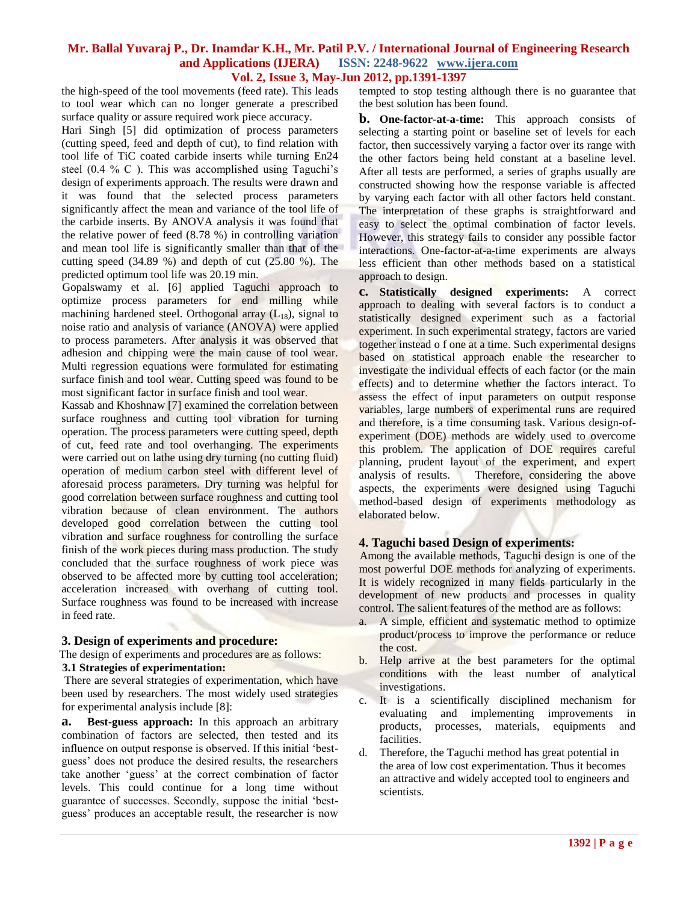the high-speed of the tool movements (feed rate). This leads to tool wear which can no longer generate a prescribed surface quality or assure required work piece accuracy.

Hari Singh [5] did optimization of process parameters (cutting speed, feed and depth of cut), to find relation with tool life of TiC coated carbide inserts while turning En24 steel (0.4 % C). This was accomplished using Taguchi's design of experiments approach. The results were drawn and it was found that the selected process parameters significantly affect the mean and variance of the tool life of the carbide inserts. By ANOVA analysis it was found that the relative power of feed (8.78 %) in controlling variation and mean tool life is significantly smaller than that of the cutting speed (34.89 %) and depth of cut (25.80 %). The predicted optimum tool life was 20.19 min.

 Gopalswamy et al. [6] applied Taguchi approach to optimize process parameters for end milling while machining hardened steel. Orthogonal array  $(L_{18})$ , signal to noise ratio and analysis of variance (ANOVA) were applied to process parameters. After analysis it was observed that adhesion and chipping were the main cause of tool wear. Multi regression equations were formulated for estimating surface finish and tool wear. Cutting speed was found to be most significant factor in surface finish and tool wear.

Kassab and Khoshnaw [7] examined the correlation between surface roughness and cutting tool vibration for turning operation. The process parameters were cutting speed, depth of cut, feed rate and tool overhanging. The experiments were carried out on lathe using dry turning (no cutting fluid) operation of medium carbon steel with different level of aforesaid process parameters. Dry turning was helpful for good correlation between surface roughness and cutting tool vibration because of clean environment. The authors developed good correlation between the cutting tool vibration and surface roughness for controlling the surface finish of the work pieces during mass production. The study concluded that the surface roughness of work piece was observed to be affected more by cutting tool acceleration; acceleration increased with overhang of cutting tool. Surface roughness was found to be increased with increase in feed rate.

# **3. Design of experiments and procedure:**

# The design of experiments and procedures are as follows:  **3.1 Strategies of experimentation:**

There are several strategies of experimentation, which have been used by researchers. The most widely used strategies for experimental analysis include [8]:

**a. Best-guess approach:** In this approach an arbitrary combination of factors are selected, then tested and its influence on output response is observed. If this initial "bestguess" does not produce the desired results, the researchers take another "guess" at the correct combination of factor levels. This could continue for a long time without guarantee of successes. Secondly, suppose the initial "bestguess" produces an acceptable result, the researcher is now

tempted to stop testing although there is no guarantee that the best solution has been found.

**b. One-factor-at-a-time:** This approach consists of selecting a starting point or baseline set of levels for each factor, then successively varying a factor over its range with the other factors being held constant at a baseline level. After all tests are performed, a series of graphs usually are constructed showing how the response variable is affected by varying each factor with all other factors held constant. The interpretation of these graphs is straightforward and easy to select the optimal combination of factor levels. However, this strategy fails to consider any possible factor interactions. One-factor-at-a-time experiments are always less efficient than other methods based on a statistical approach to design.

**c. Statistically designed experiments:** A correct approach to dealing with several factors is to conduct a statistically designed experiment such as a factorial experiment. In such experimental strategy, factors are varied together instead o f one at a time. Such experimental designs based on statistical approach enable the researcher to investigate the individual effects of each factor (or the main effects) and to determine whether the factors interact. To assess the effect of input parameters on output response variables, large numbers of experimental runs are required and therefore, is a time consuming task. Various design-ofexperiment (DOE) methods are widely used to overcome this problem. The application of DOE requires careful planning, prudent layout of the experiment, and expert analysis of results. Therefore, considering the above aspects, the experiments were designed using Taguchi method-based design of experiments methodology as elaborated below.

# **4. Taguchi based Design of experiments:**

 Among the available methods, Taguchi design is one of the most powerful DOE methods for analyzing of experiments. It is widely recognized in many fields particularly in the development of new products and processes in quality control. The salient features of the method are as follows:

- a. A simple, efficient and systematic method to optimize product/process to improve the performance or reduce the cost.
- b. Help arrive at the best parameters for the optimal conditions with the least number of analytical investigations.
- c. It is a scientifically disciplined mechanism for evaluating and implementing improvements in products, processes, materials, equipments and facilities.
- Therefore, the Taguchi method has great potential in the area of low cost experimentation. Thus it becomes an attractive and widely accepted tool to engineers and scientists.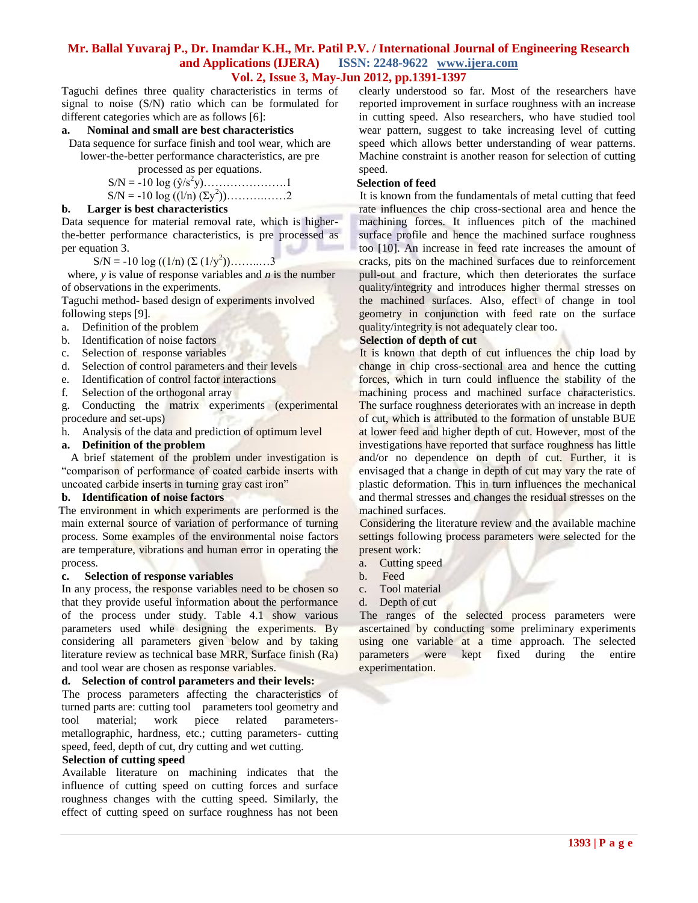Taguchi defines three quality characteristics in terms of signal to noise (S/N) ratio which can be formulated for different categories which are as follows [6]:

#### **a. Nominal and small are best characteristics**

Data sequence for surface finish and tool wear, which are lower-the-better performance characteristics, are pre

processed as per equations.

$$
S/N = -10 \log (\hat{y}/s^2 y) \dots \dots \dots \dots \dots 1
$$
  
S/N = -10 log ((1/n) (\Sy<sup>2</sup>))

#### **b. Larger is best characteristics**

Data sequence for material removal rate, which is higherthe-better performance characteristics, is pre processed as per equation 3.

S/N = -10 log  $((1/n)$   $(\Sigma (1/y^2))$ ..........3

 where, *y* is value of response variables and *n* is the number of observations in the experiments.

Taguchi method- based design of experiments involved following steps [9].

- a. Definition of the problem
- b. Identification of noise factors
- c. Selection of response variables
- d. Selection of control parameters and their levels
- e. Identification of control factor interactions
- f. Selection of the orthogonal array

g. Conducting the matrix experiments (experimental procedure and set-ups)

h. Analysis of the data and prediction of optimum level

#### **a. Definition of the problem**

 A brief statement of the problem under investigation is "comparison of performance of coated carbide inserts with uncoated carbide inserts in turning gray cast iron"

#### **b. Identification of noise factors**

 The environment in which experiments are performed is the main external source of variation of performance of turning process. Some examples of the environmental noise factors are temperature, vibrations and human error in operating the process.

### **c. Selection of response variables**

In any process, the response variables need to be chosen so that they provide useful information about the performance of the process under study. Table 4.1 show various parameters used while designing the experiments. By considering all parameters given below and by taking literature review as technical base MRR, Surface finish (Ra) and tool wear are chosen as response variables.

#### **d. Selection of control parameters and their levels:**

 The process parameters affecting the characteristics of turned parts are: cutting tool parameters tool geometry and tool material; work piece related parametersmetallographic, hardness, etc.; cutting parameters- cutting speed, feed, depth of cut, dry cutting and wet cutting.

#### **Selection of cutting speed**

 Available literature on machining indicates that the influence of cutting speed on cutting forces and surface roughness changes with the cutting speed. Similarly, the effect of cutting speed on surface roughness has not been

clearly understood so far. Most of the researchers have reported improvement in surface roughness with an increase in cutting speed. Also researchers, who have studied tool wear pattern, suggest to take increasing level of cutting speed which allows better understanding of wear patterns. Machine constraint is another reason for selection of cutting speed.

# **Selection of feed**

 It is known from the fundamentals of metal cutting that feed rate influences the chip cross-sectional area and hence the machining forces. It influences pitch of the machined surface profile and hence the machined surface roughness too [10]. An increase in feed rate increases the amount of cracks, pits on the machined surfaces due to reinforcement pull-out and fracture, which then deteriorates the surface quality/integrity and introduces higher thermal stresses on the machined surfaces. Also, effect of change in tool geometry in conjunction with feed rate on the surface quality/integrity is not adequately clear too.

# **Selection of depth of cut**

It is known that depth of cut influences the chip load by change in chip cross-sectional area and hence the cutting forces, which in turn could influence the stability of the machining process and machined surface characteristics. The surface roughness deteriorates with an increase in depth of cut, which is attributed to the formation of unstable BUE at lower feed and higher depth of cut. However, most of the investigations have reported that surface roughness has little and/or no dependence on depth of cut. Further, it is envisaged that a change in depth of cut may vary the rate of plastic deformation. This in turn influences the mechanical and thermal stresses and changes the residual stresses on the machined surfaces.

 Considering the literature review and the available machine settings following process parameters were selected for the present work:

- a. Cutting speed
- b. Feed
- c. Tool material
- d. Depth of cut

The ranges of the selected process parameters were ascertained by conducting some preliminary experiments using one variable at a time approach. The selected parameters were kept fixed during the entire experimentation.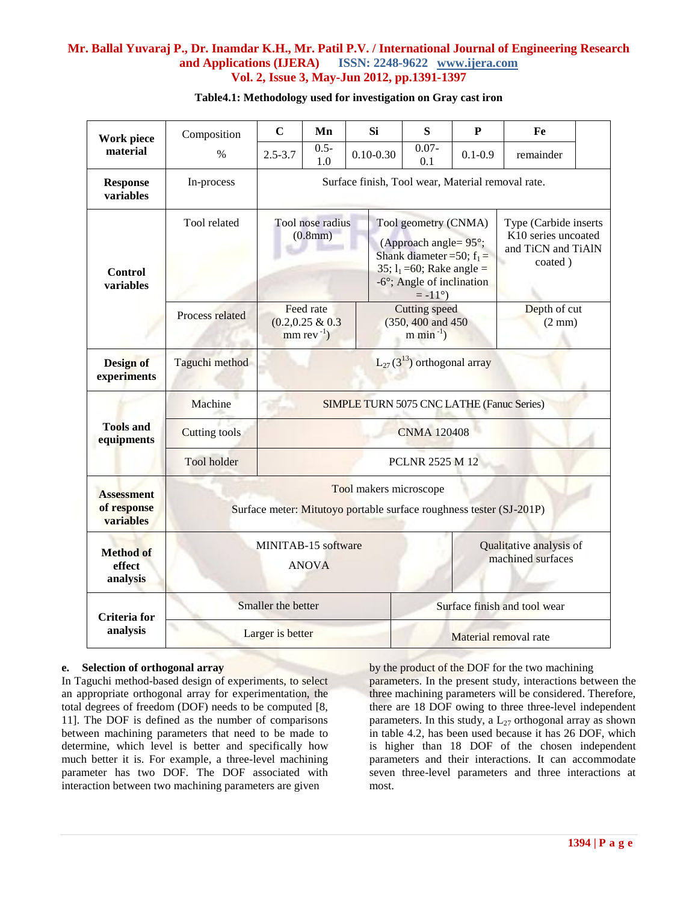| Work piece                                    | Composition                                                                                   | $\mathbf C$                                                                         | Mn                                                                                                                      | <b>Si</b>     | S                                                                                                                                                                                  | $\mathbf{P}$ | Fe                                                                            |  |
|-----------------------------------------------|-----------------------------------------------------------------------------------------------|-------------------------------------------------------------------------------------|-------------------------------------------------------------------------------------------------------------------------|---------------|------------------------------------------------------------------------------------------------------------------------------------------------------------------------------------|--------------|-------------------------------------------------------------------------------|--|
| material                                      | $\%$                                                                                          | $2.5 - 3.7$                                                                         | $0.5 -$<br>1.0                                                                                                          | $0.10 - 0.30$ | $0.07 -$<br>0.1                                                                                                                                                                    | $0.1 - 0.9$  | remainder                                                                     |  |
| <b>Response</b><br>variables                  | In-process                                                                                    | Surface finish, Tool wear, Material removal rate.                                   |                                                                                                                         |               |                                                                                                                                                                                    |              |                                                                               |  |
| <b>Control</b><br>variables                   | Tool related                                                                                  |                                                                                     | Tool nose radius<br>(0.8mm)                                                                                             |               | Tool geometry (CNMA)<br>(Approach angle= $95^\circ$ ;<br>Shank diameter = 50; $f_1 =$<br>$35$ ; 1 <sub>1</sub> =60; Rake angle =<br>-6°; Angle of inclination<br>$= -11^{\circ}$ ) |              | Type (Carbide inserts<br>K10 series uncoated<br>and TiCN and TiAlN<br>coated) |  |
|                                               | Process related                                                                               |                                                                                     | Feed rate<br>Cutting speed<br>$(0.2, 0.25 \& 0.3)$<br>(350, 400 and 450)<br>$mm$ rev <sup>-1</sup> )<br>m min $^{-1}$ ) |               | Depth of cut<br>$(2 \text{ mm})$                                                                                                                                                   |              |                                                                               |  |
| Design of<br>experiments                      | Taguchi method                                                                                | $L_{27}(3^{13})$ orthogonal array                                                   |                                                                                                                         |               |                                                                                                                                                                                    |              |                                                                               |  |
|                                               | Machine                                                                                       | <b>SIMPLE TURN 5075 CNC LATHE (Fanuc Series)</b>                                    |                                                                                                                         |               |                                                                                                                                                                                    |              |                                                                               |  |
| <b>Tools and</b><br>equipments                | <b>Cutting tools</b>                                                                          | <b>CNMA 120408</b>                                                                  |                                                                                                                         |               |                                                                                                                                                                                    |              |                                                                               |  |
|                                               | Tool holder                                                                                   | <b>PCLNR 2525 M 12</b>                                                              |                                                                                                                         |               |                                                                                                                                                                                    |              |                                                                               |  |
| <b>Assessment</b><br>of response<br>variables | Tool makers microscope<br>Surface meter: Mitutoyo portable surface roughness tester (SJ-201P) |                                                                                     |                                                                                                                         |               |                                                                                                                                                                                    |              |                                                                               |  |
| <b>Method of</b><br>effect<br>analysis        |                                                                                               | MINITAB-15 software<br>Qualitative analysis of<br>machined surfaces<br><b>ANOVA</b> |                                                                                                                         |               |                                                                                                                                                                                    |              |                                                                               |  |
| Criteria for                                  |                                                                                               | Smaller the better                                                                  |                                                                                                                         |               | Surface finish and tool wear                                                                                                                                                       |              |                                                                               |  |
| analysis                                      |                                                                                               | Larger is better                                                                    |                                                                                                                         |               | Material removal rate                                                                                                                                                              |              |                                                                               |  |

# **Table4.1: Methodology used for investigation on Gray cast iron**

#### **e. Selection of orthogonal array**

In Taguchi method-based design of experiments, to select an appropriate orthogonal array for experimentation, the total degrees of freedom (DOF) needs to be computed [8, 11]. The DOF is defined as the number of comparisons between machining parameters that need to be made to determine, which level is better and specifically how much better it is. For example, a three-level machining parameter has two DOF. The DOF associated with interaction between two machining parameters are given

by the product of the DOF for the two machining parameters. In the present study, interactions between the three machining parameters will be considered. Therefore, there are 18 DOF owing to three three-level independent parameters. In this study, a  $L_{27}$  orthogonal array as shown in table 4.2, has been used because it has 26 DOF, which is higher than 18 DOF of the chosen independent parameters and their interactions. It can accommodate seven three-level parameters and three interactions at most.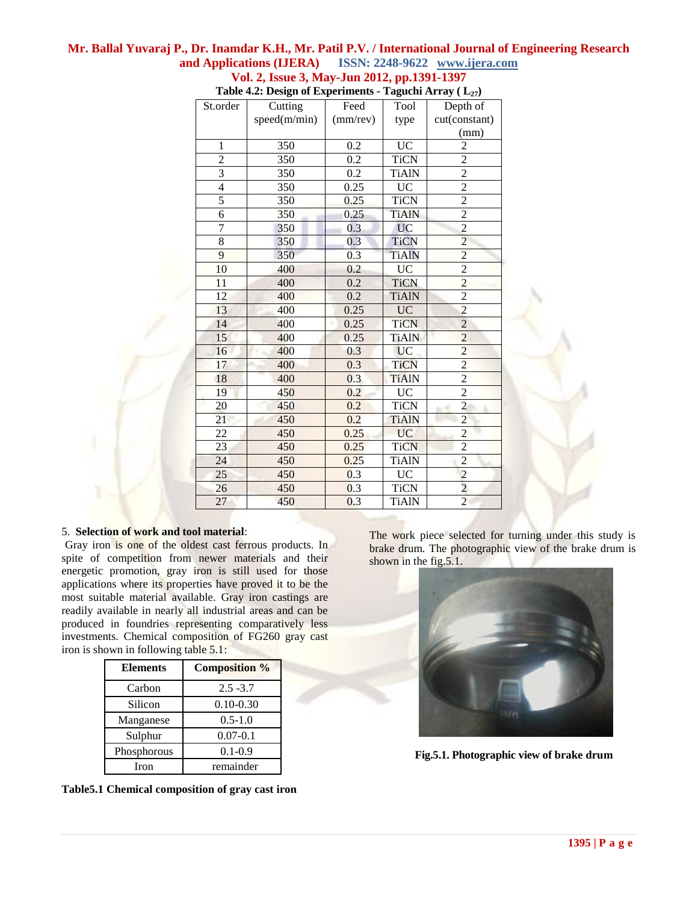|                | rabit 4.2. Design of Experiments |          |              | $\mathbf{H}$ $\mathbf{H}$ $\mathbf{H}$ $\mathbf{H}$ $\mathbf{H}$ $\mathbf{H}$ $\mathbf{H}$ $\mathbf{H}$ |
|----------------|----------------------------------|----------|--------------|---------------------------------------------------------------------------------------------------------|
| St.order       | Cutting                          | Feed     | Tool         | Depth of                                                                                                |
|                | speed(m/min)                     | (mm/rev) | type         | cut(constant)                                                                                           |
|                |                                  |          |              | (mm)                                                                                                    |
| $\mathbf{1}$   | 350                              | 0.2      | <b>UC</b>    | $\overline{2}$                                                                                          |
| $\overline{2}$ | 350                              | 0.2      | <b>TiCN</b>  | $\overline{2}$                                                                                          |
| $\overline{3}$ | 350                              | 0.2      | <b>TiAlN</b> | $\overline{2}$                                                                                          |
| $\overline{4}$ | 350                              | 0.25     | <b>UC</b>    | $\overline{2}$                                                                                          |
| 5              | 350                              | 0.25     | <b>TiCN</b>  | $\overline{2}$                                                                                          |
| $\overline{6}$ | 350                              | 0.25     | <b>TiAlN</b> | $\overline{2}$                                                                                          |
| $\overline{7}$ | 350                              | 0.3      | <b>UC</b>    | $\overline{c}$                                                                                          |
| 8              | 350                              | 0.3      | <b>TiCN</b>  | $\overline{2}$                                                                                          |
| 9              | 350                              | 0.3      | <b>TiAlN</b> | $\overline{2}$                                                                                          |
| 10             | 400                              | 0.2      | <b>UC</b>    | $\overline{2}$                                                                                          |
| 11             | 400                              | 0.2      | <b>TiCN</b>  | $\overline{c}$                                                                                          |
| 12             | 400                              | 0.2      | <b>TiAlN</b> | $\overline{2}$                                                                                          |
| 13             | 400                              | 0.25     | <b>UC</b>    | $\overline{2}$                                                                                          |
| 14             | 400                              | 0.25     | <b>TiCN</b>  | $\overline{2}$                                                                                          |
| 15             | 400                              | 0.25     | <b>TiAlN</b> | $\overline{2}$                                                                                          |
| 16             | 400                              | 0.3      | <b>UC</b>    | $\overline{c}$                                                                                          |
| 17             | 400                              | 0.3      | <b>TiCN</b>  | $\overline{2}$                                                                                          |
| 18             | 400                              | 0.3      | <b>TiAlN</b> | $\overline{2}$                                                                                          |
| 19             | 450                              | 0.2      | <b>UC</b>    | $\overline{2}$                                                                                          |
| 20             | 450                              | 0.2      | <b>TiCN</b>  | $\overline{a}$                                                                                          |
| 21             | 450                              | 0.2      | <b>TiAlN</b> | $\overline{2}$                                                                                          |
| 22             | 450                              | 0.25     | <b>UC</b>    | $\overline{c}$                                                                                          |
| 23             | 450                              | 0.25     | <b>TiCN</b>  | $\overline{c}$                                                                                          |
| 24             | 450                              | 0.25     | <b>TiAlN</b> | $\overline{2}$                                                                                          |
| 25             | 450                              | 0.3      | UC           | $\frac{2}{2}$                                                                                           |
| 26             | 450                              | 0.3      | <b>TiCN</b>  |                                                                                                         |
| 27             | 450                              | 0.3      | <b>TiAlN</b> | $\overline{2}$                                                                                          |
|                |                                  |          |              |                                                                                                         |

# **Table 4.2: Design of Experiments - Taguchi Array ( L27)**

#### 5. **Selection of work and tool material**:

 Gray iron is one of the oldest cast ferrous products. In spite of competition from newer materials and their energetic promotion, gray iron is still used for those applications where its properties have proved it to be the most suitable material available. Gray iron castings are readily available in nearly all industrial areas and can be produced in foundries representing comparatively less investments. Chemical composition of FG260 gray cast iron is shown in following table 5.1:

| <b>Elements</b> | <b>Composition %</b> |
|-----------------|----------------------|
| Carbon          | $2.5 - 3.7$          |
| Silicon         | $0.10 - 0.30$        |
| Manganese       | $0.5 - 1.0$          |
| Sulphur         | $0.07 - 0.1$         |
| Phosphorous     | $0.1 - 0.9$          |
| Iron            | remainder            |

**Table5.1 Chemical composition of gray cast iron**

The work piece selected for turning under this study is brake drum. The photographic view of the brake drum is shown in the fig.5.1.



 **Fig.5.1. Photographic view of brake drum**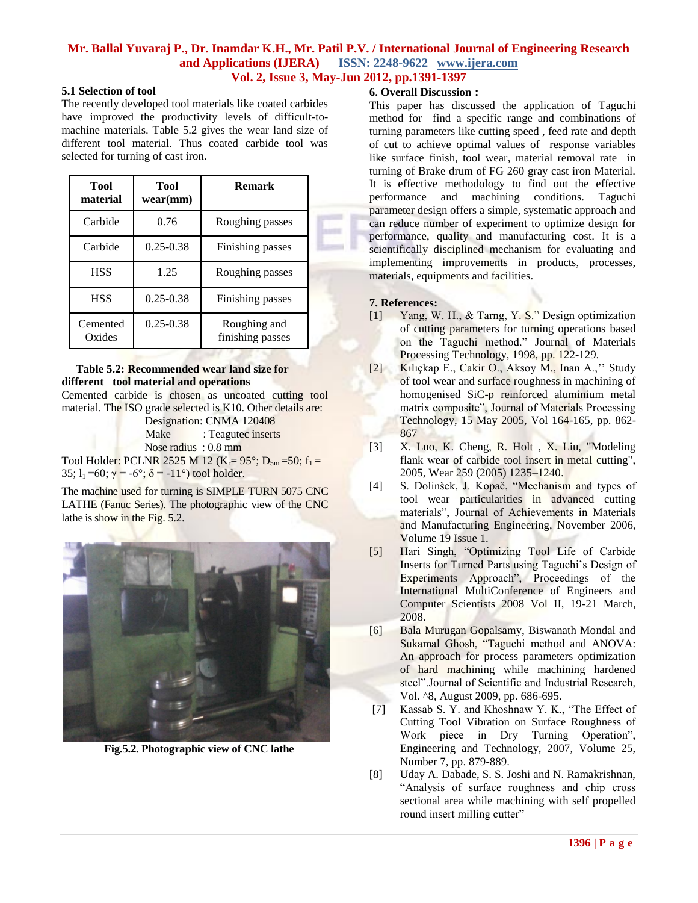# **5.1 Selection of tool**

The recently developed tool materials like coated carbides have improved the productivity levels of difficult-tomachine materials. Table 5.2 gives the wear land size of different tool material. Thus coated carbide tool was selected for turning of cast iron.

| Tool<br>material   | Tool<br>wear(mm) | <b>Remark</b>                    |
|--------------------|------------------|----------------------------------|
| Carbide            | 0.76             | Roughing passes                  |
| Carbide            | $0.25 - 0.38$    | Finishing passes                 |
| <b>HSS</b>         | 1.25             | Roughing passes                  |
| <b>HSS</b>         | $0.25 - 0.38$    | Finishing passes                 |
| Cemented<br>Oxides | $0.25 - 0.38$    | Roughing and<br>finishing passes |

# **Table 5.2: Recommended wear land size for different tool material and operations**

Cemented carbide is chosen as uncoated cutting tool material. The ISO grade selected is K10. Other details are:

 Designation: CNMA 120408 Make : Teagutec inserts

Nose radius : 0.8 mm

Tool Holder: PCLNR 2525 M 12 ( $K_r = 95^\circ$ ;  $D_{5m} = 50$ ;  $f_1 =$ 35;  $l_1 = 60$ ;  $\gamma = -6^\circ$ ;  $\delta = -11^\circ$ ) tool holder.

The machine used for turning is SIMPLE TURN 5075 CNC LATHE (Fanuc Series). The photographic view of the CNC lathe is show in the Fig. 5.2.



 **Fig.5.2. Photographic view of CNC lathe**

### **6. Overall Discussion :**

This paper has discussed the application of Taguchi method for find a specific range and combinations of turning parameters like cutting speed , feed rate and depth of cut to achieve optimal values of response variables like surface finish, tool wear, material removal rate in turning of Brake drum of FG 260 gray cast iron Material. It is effective methodology to find out the effective performance and machining conditions. Taguchi parameter design offers a simple, systematic approach and can reduce number of experiment to optimize design for performance, quality and manufacturing cost. It is a scientifically disciplined mechanism for evaluating and implementing improvements in products, processes, materials, equipments and facilities.

# **7. References:**

- [1] Yang, W. H., & Tarng, Y. S." Design optimization of cutting parameters for turning operations based on the Taguchi method." Journal of Materials Processing Technology, 1998, pp. 122-129.
- [2] Kılıçkap E., Cakir O., Aksoy M., Inan A.,"" Study of tool wear and surface roughness in machining of homogenised SiC-p reinforced aluminium metal matrix composite", Journal of Materials Processing Technology, 15 May 2005, Vol 164-165, pp. 862- 867
- [3] X. Luo, K. Cheng, R. Holt , X. Liu, "Modeling flank wear of carbide tool insert in metal cutting", 2005, Wear 259 (2005) 1235–1240.
- [4] S. Dolinšek, J. Kopač, "Mechanism and types of tool wear particularities in advanced cutting materials", Journal of Achievements in Materials and Manufacturing Engineering, November 2006, Volume 19 Issue 1.
- [5] Hari Singh, "Optimizing Tool Life of Carbide Inserts for Turned Parts using Taguchi's Design of Experiments Approach", Proceedings of the International MultiConference of Engineers and Computer Scientists 2008 Vol II, 19-21 March, 2008.
- [6] Bala Murugan Gopalsamy, Biswanath Mondal and Sukamal Ghosh, "Taguchi method and ANOVA: An approach for process parameters optimization of hard machining while machining hardened steel".Journal of Scientific and Industrial Research, Vol. ^8, August 2009, pp. 686-695.
- [7] Kassab S. Y. and Khoshnaw Y. K., "The Effect of Cutting Tool Vibration on Surface Roughness of Work piece in Dry Turning Operation", Engineering and Technology, 2007, Volume 25, Number 7, pp. 879-889.
- [8] Uday A. Dabade, S. S. Joshi and N. Ramakrishnan, "Analysis of surface roughness and chip cross sectional area while machining with self propelled round insert milling cutter"